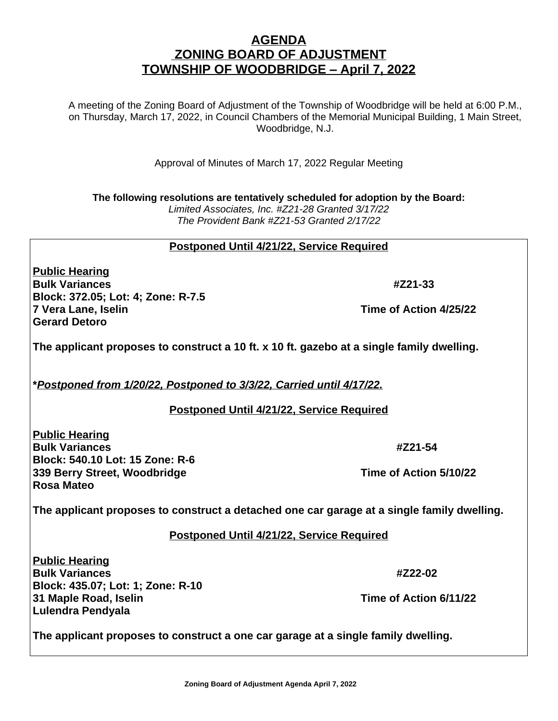# **AGENDA ZONING BOARD OF ADJUSTMENT TOWNSHIP OF WOODBRIDGE – April 7, 2022**

A meeting of the Zoning Board of Adjustment of the Township of Woodbridge will be held at 6:00 P.M., on Thursday, March 17, 2022, in Council Chambers of the Memorial Municipal Building, 1 Main Street, Woodbridge, N.J.

Approval of Minutes of March 17, 2022 Regular Meeting

**The following resolutions are tentatively scheduled for adoption by the Board:** *Limited Associates, Inc. #Z21-28 Granted 3/17/22 The Provident Bank #Z21-53 Granted 2/17/22*

### **Postponed Until 4/21/22, Service Required**

**Public Hearing Bulk Variances #Z21-33 Block: 372.05; Lot: 4; Zone: R-7.5 7 Vera Lane, Iselin Time of Action 4/25/22 Gerard Detoro** 

**The applicant proposes to construct a 10 ft. x 10 ft. gazebo at a single family dwelling.**

**\****Postponed from 1/20/22, Postponed to 3/3/22, Carried until 4/17/22.*

#### **Postponed Until 4/21/22, Service Required**

**Public Hearing Bulk Variances #Z21-54 Block: 540.10 Lot: 15 Zone: R-6 339 Berry Street, Woodbridge Time of Action 5/10/22 Rosa Mateo**

**The applicant proposes to construct a detached one car garage at a single family dwelling.**

#### **Postponed Until 4/21/22, Service Required**

**Public Hearing Bulk Variances #Z22-02 Block: 435.07; Lot: 1; Zone: R-10 31 Maple Road, Iselin Time of Action 6/11/22 Lulendra Pendyala**

**The applicant proposes to construct a one car garage at a single family dwelling.**